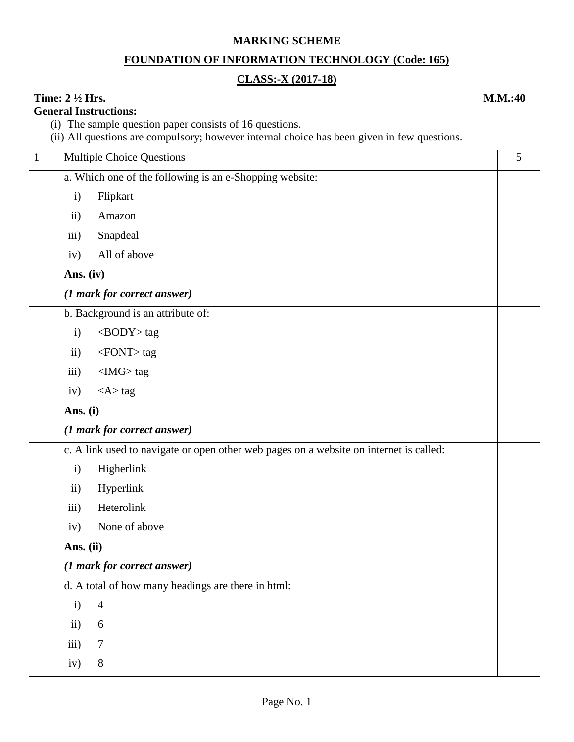#### **MARKING SCHEME**

### **FOUNDATION OF INFORMATION TECHNOLOGY (Code: 165)**

#### **CLASS:-X (2017-18)**

# **Time:** 2  $\frac{1}{2}$  Hrs. **M.M.:40**

## **General Instructions:**

- (i) The sample question paper consists of 16 questions.
- (ii) All questions are compulsory; however internal choice has been given in few questions.

| $\mathbf{1}$ | <b>Multiple Choice Questions</b>                                                       |  |  |  |  |  |  |
|--------------|----------------------------------------------------------------------------------------|--|--|--|--|--|--|
|              | a. Which one of the following is an e-Shopping website:                                |  |  |  |  |  |  |
|              | Flipkart<br>$\mathbf{i}$                                                               |  |  |  |  |  |  |
|              | $\mathbf{ii}$<br>Amazon                                                                |  |  |  |  |  |  |
|              | Snapdeal<br>iii)                                                                       |  |  |  |  |  |  |
|              | All of above<br>iv)                                                                    |  |  |  |  |  |  |
|              | Ans. (iv)                                                                              |  |  |  |  |  |  |
|              | (1 mark for correct answer)                                                            |  |  |  |  |  |  |
|              | b. Background is an attribute of:                                                      |  |  |  |  |  |  |
|              | $<$ BODY $>$ tag<br>$\mathbf{i}$                                                       |  |  |  |  |  |  |
|              | $<$ FONT $>$ tag<br>$\rm ii)$                                                          |  |  |  |  |  |  |
|              | $<$ IMG $>$ tag<br>iii)                                                                |  |  |  |  |  |  |
|              | $<$ A $>$ tag<br>iv)                                                                   |  |  |  |  |  |  |
|              | Ans. (i)                                                                               |  |  |  |  |  |  |
|              | (1 mark for correct answer)                                                            |  |  |  |  |  |  |
|              | c. A link used to navigate or open other web pages on a website on internet is called: |  |  |  |  |  |  |
|              | Higherlink<br>$\mathbf{i}$                                                             |  |  |  |  |  |  |
|              | Hyperlink<br>$\rm ii)$                                                                 |  |  |  |  |  |  |
|              | Heterolink<br>iii)                                                                     |  |  |  |  |  |  |
|              | None of above<br>iv)                                                                   |  |  |  |  |  |  |
|              | Ans. (ii)                                                                              |  |  |  |  |  |  |
|              | (1 mark for correct answer)                                                            |  |  |  |  |  |  |
|              | d. A total of how many headings are there in html:                                     |  |  |  |  |  |  |
|              | $\overline{4}$<br>$\mathbf{i}$                                                         |  |  |  |  |  |  |
|              | 6<br>$\mathbf{ii}$                                                                     |  |  |  |  |  |  |
|              | $\overline{7}$<br>iii)                                                                 |  |  |  |  |  |  |
|              | $8\,$<br>iv)                                                                           |  |  |  |  |  |  |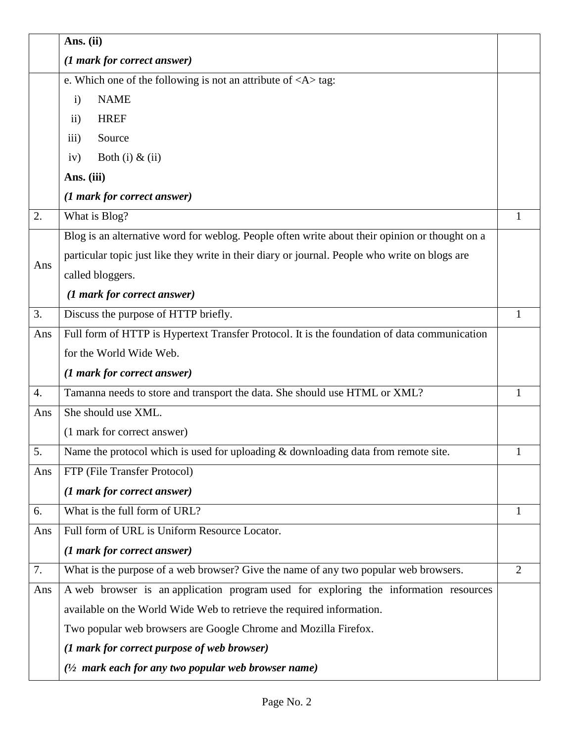|     | Ans. (ii)                                                                                      |                |  |  |  |  |  |
|-----|------------------------------------------------------------------------------------------------|----------------|--|--|--|--|--|
|     | (1 mark for correct answer)                                                                    |                |  |  |  |  |  |
|     | e. Which one of the following is not an attribute of <a>tag:</a>                               |                |  |  |  |  |  |
|     | $\mathbf{i}$<br><b>NAME</b>                                                                    |                |  |  |  |  |  |
|     | <b>HREF</b><br>$\rm ii)$                                                                       |                |  |  |  |  |  |
|     | Source<br>$\overline{iii}$ )                                                                   |                |  |  |  |  |  |
|     | Both (i) $\&$ (ii)<br>iv)                                                                      |                |  |  |  |  |  |
|     | Ans. (iii)                                                                                     |                |  |  |  |  |  |
|     | (1 mark for correct answer)                                                                    |                |  |  |  |  |  |
| 2.  | What is Blog?                                                                                  | 1              |  |  |  |  |  |
|     | Blog is an alternative word for weblog. People often write about their opinion or thought on a |                |  |  |  |  |  |
| Ans | particular topic just like they write in their diary or journal. People who write on blogs are |                |  |  |  |  |  |
|     | called bloggers.                                                                               |                |  |  |  |  |  |
|     | (1 mark for correct answer)                                                                    |                |  |  |  |  |  |
| 3.  | Discuss the purpose of HTTP briefly.                                                           |                |  |  |  |  |  |
| Ans | Full form of HTTP is Hypertext Transfer Protocol. It is the foundation of data communication   |                |  |  |  |  |  |
|     | for the World Wide Web.                                                                        |                |  |  |  |  |  |
|     | (1 mark for correct answer)                                                                    |                |  |  |  |  |  |
| 4.  | Tamanna needs to store and transport the data. She should use HTML or XML?                     | 1              |  |  |  |  |  |
| Ans | She should use XML.                                                                            |                |  |  |  |  |  |
|     | (1 mark for correct answer)                                                                    |                |  |  |  |  |  |
| 5.  | Name the protocol which is used for uploading & downloading data from remote site.             |                |  |  |  |  |  |
| Ans | FTP (File Transfer Protocol)                                                                   |                |  |  |  |  |  |
|     | (1 mark for correct answer)                                                                    |                |  |  |  |  |  |
| 6.  | What is the full form of URL?                                                                  | 1              |  |  |  |  |  |
| Ans | Full form of URL is Uniform Resource Locator.                                                  |                |  |  |  |  |  |
|     | (1 mark for correct answer)                                                                    |                |  |  |  |  |  |
| 7.  | What is the purpose of a web browser? Give the name of any two popular web browsers.           | $\overline{2}$ |  |  |  |  |  |
| Ans | A web browser is an application program used for exploring the information resources           |                |  |  |  |  |  |
|     | available on the World Wide Web to retrieve the required information.                          |                |  |  |  |  |  |
|     | Two popular web browsers are Google Chrome and Mozilla Firefox.                                |                |  |  |  |  |  |
|     | (1 mark for correct purpose of web browser)                                                    |                |  |  |  |  |  |
|     | $(1/2$ mark each for any two popular web browser name)                                         |                |  |  |  |  |  |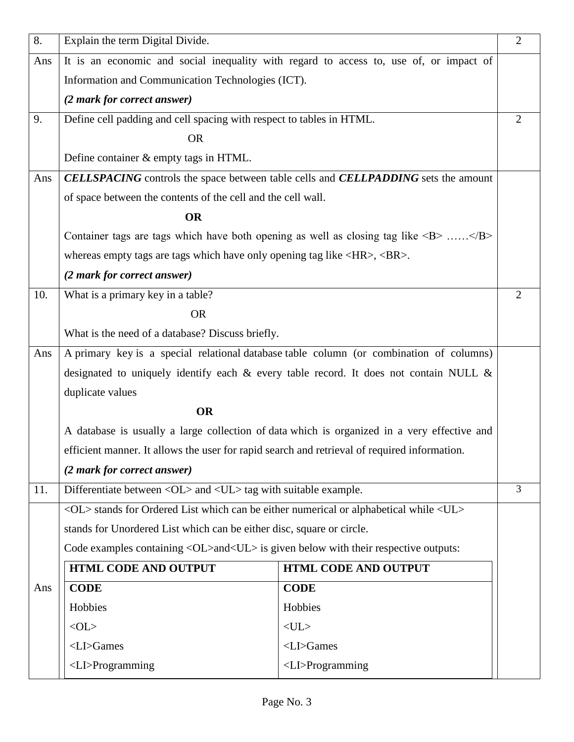| 8.  | Explain the term Digital Divide.                                                                           |                                                                                                                     | $\overline{2}$ |  |  |  |
|-----|------------------------------------------------------------------------------------------------------------|---------------------------------------------------------------------------------------------------------------------|----------------|--|--|--|
| Ans | It is an economic and social inequality with regard to access to, use of, or impact of                     |                                                                                                                     |                |  |  |  |
|     | Information and Communication Technologies (ICT).                                                          |                                                                                                                     |                |  |  |  |
|     | (2 mark for correct answer)                                                                                |                                                                                                                     |                |  |  |  |
| 9.  | Define cell padding and cell spacing with respect to tables in HTML.                                       |                                                                                                                     | 2              |  |  |  |
|     | <b>OR</b>                                                                                                  |                                                                                                                     |                |  |  |  |
|     | Define container & empty tags in HTML.                                                                     |                                                                                                                     |                |  |  |  |
| Ans |                                                                                                            | <b>CELLSPACING</b> controls the space between table cells and <b>CELLPADDING</b> sets the amount                    |                |  |  |  |
|     | of space between the contents of the cell and the cell wall.                                               |                                                                                                                     |                |  |  |  |
|     | <b>OR</b>                                                                                                  |                                                                                                                     |                |  |  |  |
|     |                                                                                                            | Container tags are tags which have both opening as well as closing tag like $\langle B \rangle$ $\langle B \rangle$ |                |  |  |  |
|     | whereas empty tags are tags which have only opening tag like $\langle HR \rangle$ , $\langle BR \rangle$ . |                                                                                                                     |                |  |  |  |
|     | (2 mark for correct answer)                                                                                |                                                                                                                     |                |  |  |  |
| 10. | What is a primary key in a table?                                                                          |                                                                                                                     |                |  |  |  |
|     | <b>OR</b>                                                                                                  |                                                                                                                     |                |  |  |  |
|     | What is the need of a database? Discuss briefly.                                                           |                                                                                                                     |                |  |  |  |
| Ans | A primary key is a special relational database table column (or combination of columns)                    |                                                                                                                     |                |  |  |  |
|     | designated to uniquely identify each & every table record. It does not contain NULL &                      |                                                                                                                     |                |  |  |  |
|     | duplicate values                                                                                           |                                                                                                                     |                |  |  |  |
|     | <b>OR</b>                                                                                                  |                                                                                                                     |                |  |  |  |
|     | A database is usually a large collection of data which is organized in a very effective and                |                                                                                                                     |                |  |  |  |
|     | efficient manner. It allows the user for rapid search and retrieval of required information.               |                                                                                                                     |                |  |  |  |
|     | (2 mark for correct answer)                                                                                |                                                                                                                     |                |  |  |  |
| 11. | Differentiate between < OL > and < UL > tag with suitable example.                                         |                                                                                                                     | $\overline{3}$ |  |  |  |
|     | <ol> stands for Ordered List which can be either numerical or alphabetical while <ul></ul></ol>            |                                                                                                                     |                |  |  |  |
|     | stands for Unordered List which can be either disc, square or circle.                                      |                                                                                                                     |                |  |  |  |
|     | Code examples containing <ol>and<ul> is given below with their respective outputs:</ul></ol>               |                                                                                                                     |                |  |  |  |
|     | <b>HTML CODE AND OUTPUT</b><br><b>HTML CODE AND OUTPUT</b>                                                 |                                                                                                                     |                |  |  |  |
| Ans | <b>CODE</b>                                                                                                | <b>CODE</b>                                                                                                         |                |  |  |  |
|     | Hobbies                                                                                                    | Hobbies                                                                                                             |                |  |  |  |
|     | $<$ OL $>$                                                                                                 | $<$ UL $>$                                                                                                          |                |  |  |  |
|     | <li>Games<br/><li>Games</li></li>                                                                          |                                                                                                                     |                |  |  |  |
|     | <li>Programming<br/><li>Programming</li></li>                                                              |                                                                                                                     |                |  |  |  |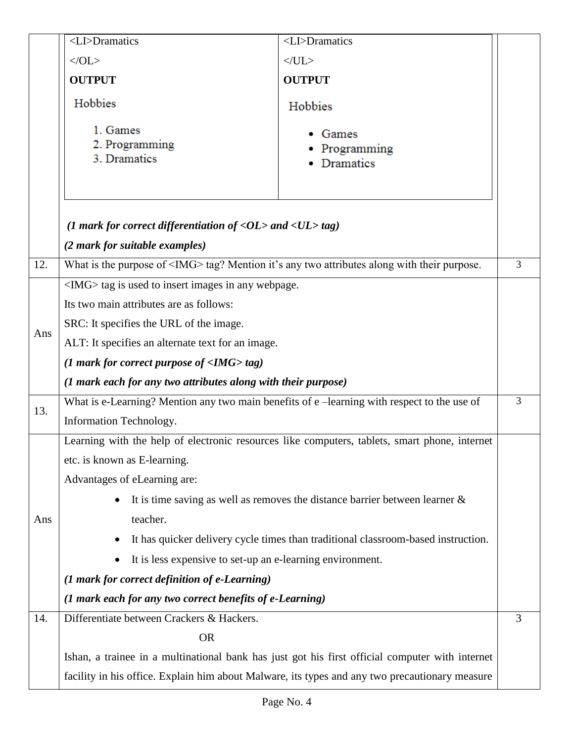|     | <li>Dramatics</li>                                                                              | <li>Dramatics</li>                                                                             |   |  |  |  |
|-----|-------------------------------------------------------------------------------------------------|------------------------------------------------------------------------------------------------|---|--|--|--|
|     | $<$ /OL>                                                                                        | $<$ /UL>                                                                                       |   |  |  |  |
|     | <b>OUTPUT</b>                                                                                   | <b>OUTPUT</b>                                                                                  |   |  |  |  |
|     | Hobbies                                                                                         | Hobbies                                                                                        |   |  |  |  |
|     | 1. Games<br>2. Programming<br>3. Dramatics                                                      | Games<br>Programming<br>Dramatics                                                              |   |  |  |  |
|     | (1 mark for correct differentiation of $\langle O L \rangle$ and $\langle U L \rangle$ tag)     |                                                                                                |   |  |  |  |
|     | (2 mark for suitable examples)                                                                  |                                                                                                |   |  |  |  |
| 12. | What is the purpose of <img/> tag? Mention it's any two attributes along with their purpose.    |                                                                                                | 3 |  |  |  |
|     | <img/> tag is used to insert images in any webpage.                                             |                                                                                                |   |  |  |  |
|     | Its two main attributes are as follows:                                                         |                                                                                                |   |  |  |  |
| Ans | SRC: It specifies the URL of the image.                                                         |                                                                                                |   |  |  |  |
|     | ALT: It specifies an alternate text for an image.                                               |                                                                                                |   |  |  |  |
|     | (1 mark for correct purpose of $\langle M G \rangle$ tag)                                       |                                                                                                |   |  |  |  |
|     | (1 mark each for any two attributes along with their purpose)                                   |                                                                                                |   |  |  |  |
| 13. | What is e-Learning? Mention any two main benefits of e-learning with respect to the use of      |                                                                                                |   |  |  |  |
|     | Information Technology.                                                                         |                                                                                                |   |  |  |  |
|     |                                                                                                 | Learning with the help of electronic resources like computers, tablets, smart phone, internet  |   |  |  |  |
|     | etc. is known as E-learning.                                                                    |                                                                                                |   |  |  |  |
|     | Advantages of eLearning are:                                                                    |                                                                                                |   |  |  |  |
|     |                                                                                                 | It is time saving as well as removes the distance barrier between learner $\&$                 |   |  |  |  |
| Ans | teacher.                                                                                        |                                                                                                |   |  |  |  |
|     | It has quicker delivery cycle times than traditional classroom-based instruction.               |                                                                                                |   |  |  |  |
|     | It is less expensive to set-up an e-learning environment.                                       |                                                                                                |   |  |  |  |
|     | (1 mark for correct definition of e-Learning)                                                   |                                                                                                |   |  |  |  |
|     | (1 mark each for any two correct benefits of e-Learning)                                        |                                                                                                |   |  |  |  |
| 14. | Differentiate between Crackers & Hackers.                                                       |                                                                                                | 3 |  |  |  |
|     | <b>OR</b>                                                                                       |                                                                                                |   |  |  |  |
|     | Ishan, a trainee in a multinational bank has just got his first official computer with internet |                                                                                                |   |  |  |  |
|     |                                                                                                 | facility in his office. Explain him about Malware, its types and any two precautionary measure |   |  |  |  |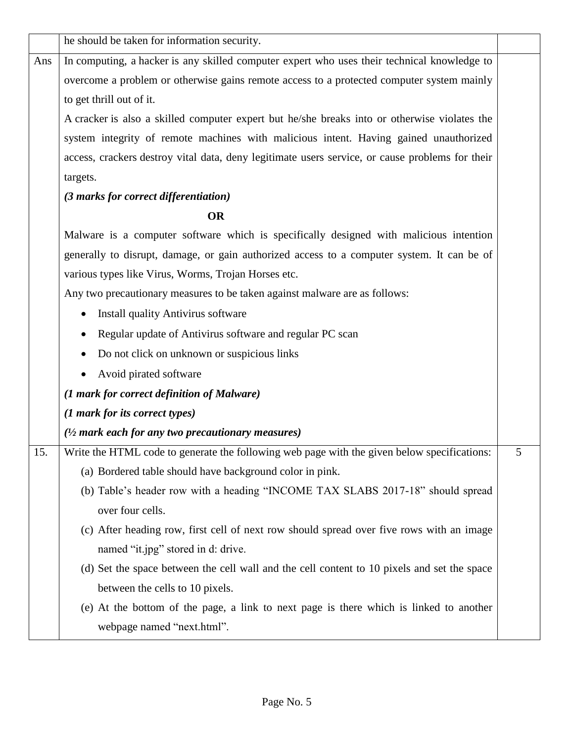|     | he should be taken for information security.                                                    |   |  |  |  |  |  |
|-----|-------------------------------------------------------------------------------------------------|---|--|--|--|--|--|
| Ans | In computing, a hacker is any skilled computer expert who uses their technical knowledge to     |   |  |  |  |  |  |
|     | overcome a problem or otherwise gains remote access to a protected computer system mainly       |   |  |  |  |  |  |
|     | to get thrill out of it.                                                                        |   |  |  |  |  |  |
|     | A cracker is also a skilled computer expert but he/she breaks into or otherwise violates the    |   |  |  |  |  |  |
|     | system integrity of remote machines with malicious intent. Having gained unauthorized           |   |  |  |  |  |  |
|     | access, crackers destroy vital data, deny legitimate users service, or cause problems for their |   |  |  |  |  |  |
|     | targets.                                                                                        |   |  |  |  |  |  |
|     | (3 marks for correct differentiation)                                                           |   |  |  |  |  |  |
|     | <b>OR</b>                                                                                       |   |  |  |  |  |  |
|     | Malware is a computer software which is specifically designed with malicious intention          |   |  |  |  |  |  |
|     | generally to disrupt, damage, or gain authorized access to a computer system. It can be of      |   |  |  |  |  |  |
|     | various types like Virus, Worms, Trojan Horses etc.                                             |   |  |  |  |  |  |
|     | Any two precautionary measures to be taken against malware are as follows:                      |   |  |  |  |  |  |
|     | <b>Install quality Antivirus software</b>                                                       |   |  |  |  |  |  |
|     | Regular update of Antivirus software and regular PC scan                                        |   |  |  |  |  |  |
|     | Do not click on unknown or suspicious links                                                     |   |  |  |  |  |  |
|     | Avoid pirated software                                                                          |   |  |  |  |  |  |
|     | (1 mark for correct definition of Malware)                                                      |   |  |  |  |  |  |
|     | (1 mark for its correct types)                                                                  |   |  |  |  |  |  |
|     | $(1/2$ mark each for any two precautionary measures)                                            |   |  |  |  |  |  |
| 15. | Write the HTML code to generate the following web page with the given below specifications:     | 5 |  |  |  |  |  |
|     | (a) Bordered table should have background color in pink.                                        |   |  |  |  |  |  |
|     | (b) Table's header row with a heading "INCOME TAX SLABS 2017-18" should spread                  |   |  |  |  |  |  |
|     | over four cells.                                                                                |   |  |  |  |  |  |
|     | (c) After heading row, first cell of next row should spread over five rows with an image        |   |  |  |  |  |  |
|     | named "it.jpg" stored in d: drive.                                                              |   |  |  |  |  |  |
|     | (d) Set the space between the cell wall and the cell content to 10 pixels and set the space     |   |  |  |  |  |  |
|     | between the cells to 10 pixels.                                                                 |   |  |  |  |  |  |
|     | (e) At the bottom of the page, a link to next page is there which is linked to another          |   |  |  |  |  |  |
|     | webpage named "next.html".                                                                      |   |  |  |  |  |  |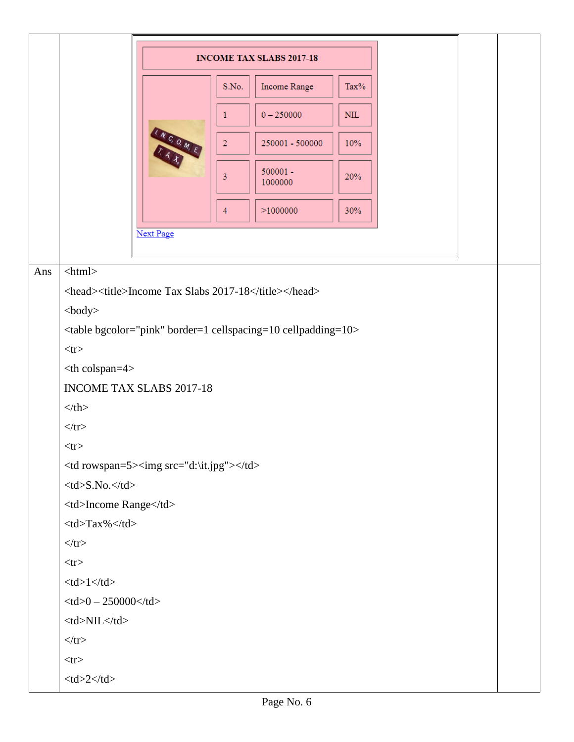|     |                                |                                                      |                        | <b>INCOME TAX SLABS 2017-18</b>                                             |                |  |  |  |  |  |
|-----|--------------------------------|------------------------------------------------------|------------------------|-----------------------------------------------------------------------------|----------------|--|--|--|--|--|
|     |                                |                                                      | S.No.                  | Income Range                                                                | $\text{Tax}\%$ |  |  |  |  |  |
|     |                                |                                                      | 1                      | $0 - 250000$                                                                | $\mbox{NIL}$   |  |  |  |  |  |
|     |                                | MEOME                                                | $\overline{2}$         | $250001 - 500000$                                                           | $10\%$         |  |  |  |  |  |
|     |                                |                                                      | 3                      | $500001 -$<br>1000000                                                       | 20%            |  |  |  |  |  |
|     |                                |                                                      | $\overline{4}$         | >1000000                                                                    | 30%            |  |  |  |  |  |
|     |                                | <b>Next Page</b>                                     |                        |                                                                             |                |  |  |  |  |  |
| Ans | $\langle$ html $>$             |                                                      |                        |                                                                             |                |  |  |  |  |  |
|     |                                | <head><title>Income Tax Slabs 2017-18</title></head> |                        |                                                                             |                |  |  |  |  |  |
|     | $<$ body $>$                   |                                                      |                        |                                                                             |                |  |  |  |  |  |
|     |                                |                                                      |                        | <table bgcolor="pink" border="1" cellpadding="10" cellspacing="10"></table> |                |  |  |  |  |  |
|     | $<$ tr $>$                     |                                                      |                        |                                                                             |                |  |  |  |  |  |
|     | <th colspan="4"></th>          |                                                      |                        |                                                                             |                |  |  |  |  |  |
|     |                                | <b>INCOME TAX SLABS 2017-18</b>                      |                        |                                                                             |                |  |  |  |  |  |
|     | $\langle t \rangle$            |                                                      |                        |                                                                             |                |  |  |  |  |  |
|     | $\langle tr \rangle$           |                                                      |                        |                                                                             |                |  |  |  |  |  |
|     | $<$ tr $>$                     |                                                      |                        |                                                                             |                |  |  |  |  |  |
|     |                                | <td rowspan="5"><img src="d:\it.jpg"/></td>          | <img src="d:\it.jpg"/> |                                                                             |                |  |  |  |  |  |
|     | $<$ td>S.No. $<$ /td>          |                                                      |                        |                                                                             |                |  |  |  |  |  |
|     | <td>Income Range</td>          | Income Range                                         |                        |                                                                             |                |  |  |  |  |  |
|     | <br><td>Tax%</td>              | Tax%                                                 |                        |                                                                             |                |  |  |  |  |  |
|     | $\langle tr \rangle$           |                                                      |                        |                                                                             |                |  |  |  |  |  |
|     | $<$ tr $>$                     |                                                      |                        |                                                                             |                |  |  |  |  |  |
|     | <br><td>1</td>                 | 1                                                    |                        |                                                                             |                |  |  |  |  |  |
|     | $<$ td $>0-250000$ $<$ /td $>$ |                                                      |                        |                                                                             |                |  |  |  |  |  |
|     | <br><td>NIL</td>               | NIL                                                  |                        |                                                                             |                |  |  |  |  |  |
|     | $\langle tr \rangle$           |                                                      |                        |                                                                             |                |  |  |  |  |  |
|     | $<$ tr $>$                     |                                                      |                        |                                                                             |                |  |  |  |  |  |
|     | <br><td>2</td>                 | 2                                                    |                        |                                                                             |                |  |  |  |  |  |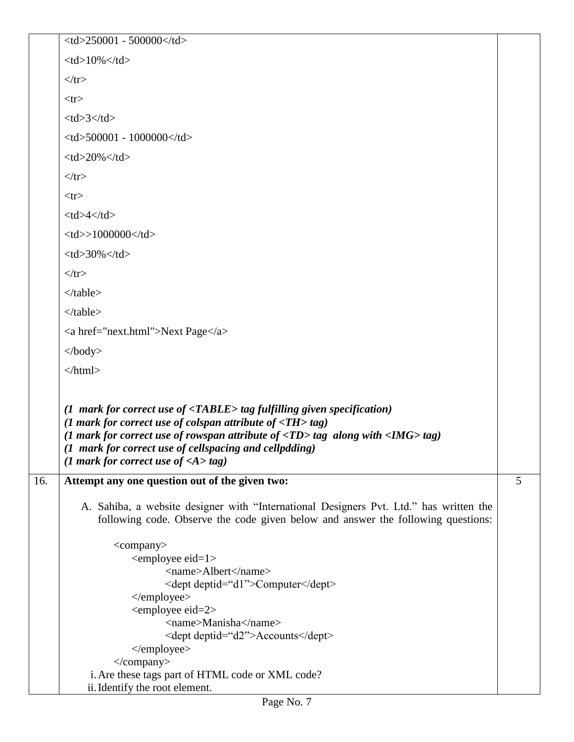|     | $<$ td>250001 - 500000 $<$ /td>                                                                                                                                                                                                                                                                                                                                                                        |   |
|-----|--------------------------------------------------------------------------------------------------------------------------------------------------------------------------------------------------------------------------------------------------------------------------------------------------------------------------------------------------------------------------------------------------------|---|
|     | $<$ td $>$ 10% $<$ /td $>$                                                                                                                                                                                                                                                                                                                                                                             |   |
|     | $\langle tr \rangle$                                                                                                                                                                                                                                                                                                                                                                                   |   |
|     |                                                                                                                                                                                                                                                                                                                                                                                                        |   |
|     | $<$ tr $>$                                                                                                                                                                                                                                                                                                                                                                                             |   |
|     | $<$ td>3 $<$ /td>                                                                                                                                                                                                                                                                                                                                                                                      |   |
|     | $<$ td>500001 - 1000000 $<$ /td>                                                                                                                                                                                                                                                                                                                                                                       |   |
|     | $<$ td>20% $<$ /td>                                                                                                                                                                                                                                                                                                                                                                                    |   |
|     | $\langle tr \rangle$                                                                                                                                                                                                                                                                                                                                                                                   |   |
|     | $<$ tr $>$                                                                                                                                                                                                                                                                                                                                                                                             |   |
|     | $<$ td>4 $<$ /td>                                                                                                                                                                                                                                                                                                                                                                                      |   |
|     | $<$ td>>1000000 $<$ /td>                                                                                                                                                                                                                                                                                                                                                                               |   |
|     | $<$ td>30% $<$ /td>                                                                                                                                                                                                                                                                                                                                                                                    |   |
|     | $\langle tr \rangle$                                                                                                                                                                                                                                                                                                                                                                                   |   |
|     | $\langle$ table>                                                                                                                                                                                                                                                                                                                                                                                       |   |
|     | $\langle$ table>                                                                                                                                                                                                                                                                                                                                                                                       |   |
|     | <a href="next.html">Next Page</a>                                                                                                                                                                                                                                                                                                                                                                      |   |
|     | $\langle \text{body} \rangle$                                                                                                                                                                                                                                                                                                                                                                          |   |
|     | $\langle$ html>                                                                                                                                                                                                                                                                                                                                                                                        |   |
|     | (1 mark for correct use of $\langle TABLE \rangle$ tag fulfilling given specification)<br>(1 mark for correct use of colspan attribute of $\langle TH \rangle$ tag)<br>(1 mark for correct use of rowspan attribute of $\langle TD \rangle$ tag along with $\langle IMG \rangle$ tag)<br>(1 mark for correct use of cellspacing and cellpdding)<br>(1 mark for correct use of $\langle A \rangle$ tag) |   |
| 16. | Attempt any one question out of the given two:                                                                                                                                                                                                                                                                                                                                                         | 5 |
|     | A. Sahiba, a website designer with "International Designers Pvt. Ltd." has written the<br>following code. Observe the code given below and answer the following questions:                                                                                                                                                                                                                             |   |
|     | <company></company>                                                                                                                                                                                                                                                                                                                                                                                    |   |
|     | <employee eid="1"></employee>                                                                                                                                                                                                                                                                                                                                                                          |   |
|     | <name>Albert</name>                                                                                                                                                                                                                                                                                                                                                                                    |   |
|     | <dept deptid="d1">Computer</dept><br>                                                                                                                                                                                                                                                                                                                                                                  |   |
|     | <employee eid="2"></employee>                                                                                                                                                                                                                                                                                                                                                                          |   |
|     | <name>Manisha</name>                                                                                                                                                                                                                                                                                                                                                                                   |   |
|     | <dept deptid="d2">Accounts</dept>                                                                                                                                                                                                                                                                                                                                                                      |   |
|     |                                                                                                                                                                                                                                                                                                                                                                                                        |   |
|     |                                                                                                                                                                                                                                                                                                                                                                                                        |   |
|     | i. Are these tags part of HTML code or XML code?                                                                                                                                                                                                                                                                                                                                                       |   |
|     | ii. Identify the root element.                                                                                                                                                                                                                                                                                                                                                                         |   |